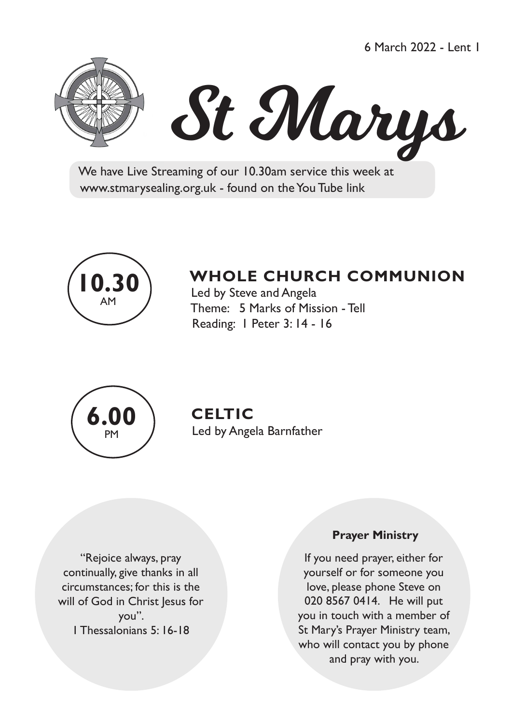6 March 2022 - Lent 1





 We have Live Streaming of our 10.30am service this week at www.stmarysealing.org.uk - found on the You Tube link



# **WHOLE CHURCH COMMUNION**

 Led by Steve and Angela Theme: 5 Marks of Mission - Tell Reading: 1 Peter 3: 14 - 16



## **CELTIC**

Led by Angela Barnfather

"Rejoice always, pray continually, give thanks in all circumstances; for this is the will of God in Christ Jesus for you". 1 Thessalonians 5: 16-18

#### **Prayer Ministry**

If you need prayer, either for yourself or for someone you love, please phone Steve on 020 8567 0414. He will put you in touch with a member of St Mary's Prayer Ministry team, who will contact you by phone and pray with you.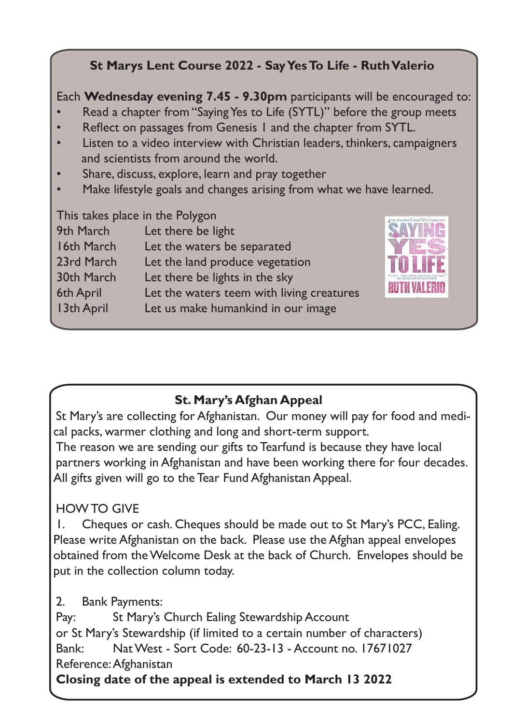### **St Marys Lent Course 2022 - Say Yes To Life - Ruth Valerio**

Each **Wednesday evening 7.45 - 9.30pm** participants will be encouraged to:

- Read a chapter from "Saying Yes to Life (SYTL)" before the group meets
- Reflect on passages from Genesis 1 and the chapter from SYTL.
- Listen to a video interview with Christian leaders, thinkers, campaigners and scientists from around the world.
- Share, discuss, explore, learn and pray together
- Make lifestyle goals and changes arising from what we have learned.

This takes place in the Polygon

| Let there be light                        |
|-------------------------------------------|
| Let the waters be separated               |
| Let the land produce vegetation           |
| Let there be lights in the sky            |
| Let the waters teem with living creatures |
| Let us make humankind in our image        |
|                                           |



### **St. Mary's Afghan Appeal**

St Mary's are collecting for Afghanistan. Our money will pay for food and medical packs, warmer clothing and long and short-term support.

The reason we are sending our gifts to Tearfund is because they have local partners working in Afghanistan and have been working there for four decades. All gifts given will go to the Tear Fund Afghanistan Appeal.

### HOW TO GIVE

1. Cheques or cash. Cheques should be made out to St Mary's PCC, Ealing. Please write Afghanistan on the back. Please use the Afghan appeal envelopes obtained from the Welcome Desk at the back of Church. Envelopes should be put in the collection column today.

2. Bank Payments:

Pay: St Mary's Church Ealing Stewardship Account or St Mary's Stewardship (if limited to a certain number of characters) Bank: Nat West - Sort Code: 60-23-13 - Account no. 17671027 Reference:Afghanistan

**Closing date of the appeal is extended to March 13 2022**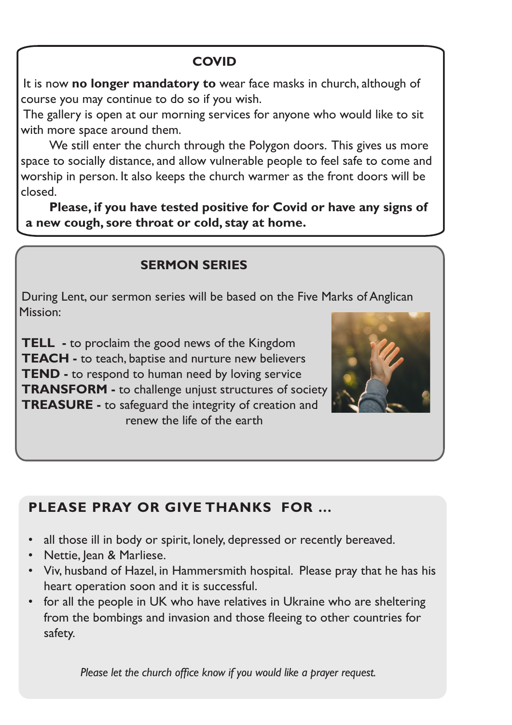### **COVID**

It is now **no longer mandatory to** wear face masks in church, although of course you may continue to do so if you wish.

The gallery is open at our morning services for anyone who would like to sit with more space around them.

We still enter the church through the Polygon doors. This gives us more space to socially distance, and allow vulnerable people to feel safe to come and worship in person. It also keeps the church warmer as the front doors will be closed.

**Please, if you have tested positive for Covid or have any signs of a new cough, sore throat or cold, stay at home.** 

#### **SERMON SERIES**

During Lent, our sermon series will be based on the Five Marks of Anglican Mission:

**TELL -** to proclaim the good news of the Kingdom **TEACH -** to teach, baptise and nurture new believers **TEND** - to respond to human need by loving service **TRANSFORM -** to challenge unjust structures of society **TREASURE -** to safeguard the integrity of creation and renew the life of the earth



### **PLEASE PRAY OR GIVE THANKS FOR …**

- all those ill in body or spirit, lonely, depressed or recently bereaved.
- Nettie, Jean & Marliese.
- Viv, husband of Hazel, in Hammersmith hospital. Please pray that he has his heart operation soon and it is successful.
- for all the people in UK who have relatives in Ukraine who are sheltering from the bombings and invasion and those fleeing to other countries for safety.

 *Please let the church office know if you would like a prayer request.*